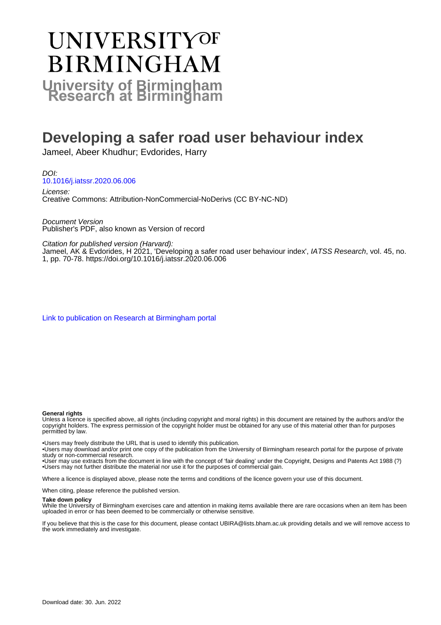# **UNIVERSITYOF BIRMINGHAM University of Birmingham**

## **Developing a safer road user behaviour index**

Jameel, Abeer Khudhur; Evdorides, Harry

DOI: [10.1016/j.iatssr.2020.06.006](https://doi.org/10.1016/j.iatssr.2020.06.006)

License: Creative Commons: Attribution-NonCommercial-NoDerivs (CC BY-NC-ND)

Document Version Publisher's PDF, also known as Version of record

Citation for published version (Harvard):

Jameel, AK & Evdorides, H 2021, 'Developing a safer road user behaviour index', IATSS Research, vol. 45, no. 1, pp. 70-78. <https://doi.org/10.1016/j.iatssr.2020.06.006>

[Link to publication on Research at Birmingham portal](https://birmingham.elsevierpure.com/en/publications/0d91c130-64fa-4bd5-b2b9-f19469e7d1fc)

#### **General rights**

Unless a licence is specified above, all rights (including copyright and moral rights) in this document are retained by the authors and/or the copyright holders. The express permission of the copyright holder must be obtained for any use of this material other than for purposes permitted by law.

• Users may freely distribute the URL that is used to identify this publication.

• Users may download and/or print one copy of the publication from the University of Birmingham research portal for the purpose of private study or non-commercial research.

• User may use extracts from the document in line with the concept of 'fair dealing' under the Copyright, Designs and Patents Act 1988 (?) • Users may not further distribute the material nor use it for the purposes of commercial gain.

Where a licence is displayed above, please note the terms and conditions of the licence govern your use of this document.

When citing, please reference the published version.

#### **Take down policy**

While the University of Birmingham exercises care and attention in making items available there are rare occasions when an item has been uploaded in error or has been deemed to be commercially or otherwise sensitive.

If you believe that this is the case for this document, please contact UBIRA@lists.bham.ac.uk providing details and we will remove access to the work immediately and investigate.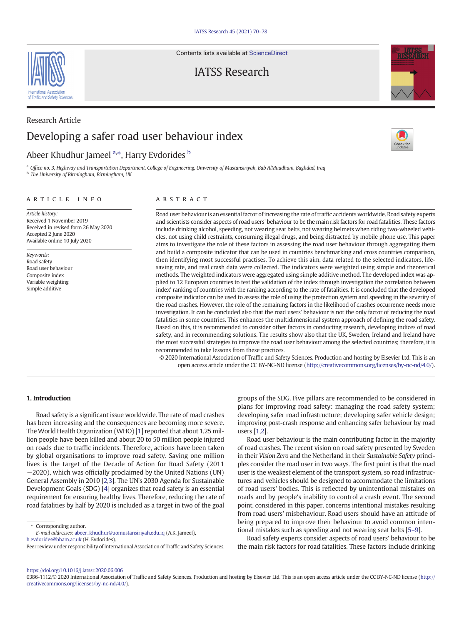Contents lists available at [ScienceDirect](http://www.sciencedirect.com/science/journal/)

## IATSS Research

## Research Article Developing a safer road user behaviour index

## Abeer Khudhur Jameel <sup>a,\*</sup>, Harry Evdorides <sup>b</sup>

a Office no. 3, Highway and Transportation Department, College of Engineering, University of Mustansiriyah, Bab AlMuadham, Baghdad, Iraq b The University of Birmingham, Birmingham, UK

#### ARTICLE INFO ABSTRACT

Article history: Received 1 November 2019 Received in revised form 26 May 2020 Accepted 2 June 2020 Available online 10 July 2020

Keywords: Road safety Road user behaviour Composite index Variable weighting Simple additive

Road user behaviour is an essential factor of increasing the rate of traffic accidents worldwide. Road safety experts and scientists consider aspects of road users' behaviour to be the main risk factors for road fatalities. These factors include drinking alcohol, speeding, not wearing seat belts, not wearing helmets when riding two-wheeled vehicles, not using child restraints, consuming illegal drugs, and being distracted by mobile phone use. This paper aims to investigate the role of these factors in assessing the road user behaviour through aggregating them and build a composite indicator that can be used in countries benchmarking and cross countries comparison, then identifying most successful practises. To achieve this aim, data related to the selected indicators, lifesaving rate, and real crash data were collected. The indicators were weighted using simple and theoretical methods. The weighted indicators were aggregated using simple additive method. The developed index was applied to 12 European countries to test the validation of the index through investigation the correlation between index' ranking of countries with the ranking according to the rate of fatalities. It is concluded that the developed composite indicator can be used to assess the role of using the protection system and speeding in the severity of the road crashes. However, the role of the remaining factors in the likelihood of crashes occurrence needs more investigation. It can be concluded also that the road users' behaviour is not the only factor of reducing the road fatalities in some countries. This enhances the multidimensional system approach of defining the road safety. Based on this, it is recommended to consider other factors in conducting research, developing indices of road safety, and in recommending solutions. The results show also that the UK, Sweden, Ireland and Ireland have the most successful strategies to improve the road user behaviour among the selected countries; therefore, it is recommended to take lessons from these practices.

© 2020 International Association of Traffic and Safety Sciences. Production and hosting by Elsevier Ltd. This is an open access article under the CC BY-NC-ND license [\(http://creativecommons.org/licenses/by-nc-nd/4.0/](http://creativecommons.org/licenses/by-nc-nd/4.0/)).

#### 1. Introduction

Road safety is a significant issue worldwide. The rate of road crashes has been increasing and the consequences are becoming more severe. The World Health Organization (WHO) [\[1](#page-9-0)] reported that about 1.25 million people have been killed and about 20 to 50 million people injured on roads due to traffic incidents. Therefore, actions have been taken by global organisations to improve road safety. Saving one million lives is the target of the Decade of Action for Road Safety (2011 −2020), which was officially proclaimed by the United Nations (UN) General Assembly in 2010 [[2,3](#page-9-0)]. The UN's 2030 Agenda for Sustainable Development Goals (SDG) [\[4\]](#page-9-0) organizes that road safety is an essential requirement for ensuring healthy lives. Therefore, reducing the rate of road fatalities by half by 2020 is included as a target in two of the goal

Corresponding author.

groups of the SDG. Five pillars are recommended to be considered in plans for improving road safety: managing the road safety system; developing safer road infrastructure; developing safer vehicle design; improving post-crash response and enhancing safer behaviour by road users [\[1,2\]](#page-9-0).

Road user behaviour is the main contributing factor in the majority of road crashes. The recent vision on road safety presented by Sweden in their Vision Zero and the Netherland in their Sustainable Safety principles consider the road user in two ways. The first point is that the road user is the weakest element of the transport system, so road infrastructures and vehicles should be designed to accommodate the limitations of road users' bodies. This is reflected by unintentional mistakes on roads and by people's inability to control a crash event. The second point, considered in this paper, concerns intentional mistakes resulting from road users' misbehaviour. Road users should have an attitude of being prepared to improve their behaviour to avoid common intentional mistakes such as speeding and not wearing seat belts [\[5](#page-9-0)–9].

Road safety experts consider aspects of road users' behaviour to be the main risk factors for road fatalities. These factors include drinking

<https://doi.org/10.1016/j.iatssr.2020.06.006>







E-mail addresses: [abeer\\_khudhur@uomustansiriyah.edu.iq](mailto:abeer_khudhur@uomustansiriyah.edu.iq) (A.K. Jameel), [h.evdorides@bham.ac.uk](mailto:h.evdorides@bham.ac.uk) (H. Evdorides).

Peer review under responsibility of International Association of Traffic and Safety Sciences.

<sup>0386-1112/© 2020</sup> International Association of Traffic and Safety Sciences. Production and hosting by Elsevier Ltd. This is an open access article under the CC BY-NC-ND license [\(http://](http://creativecommons.org/licenses/by-nc-nd/4.0/) [creativecommons.org/licenses/by-nc-nd/4.0/\)](http://creativecommons.org/licenses/by-nc-nd/4.0/).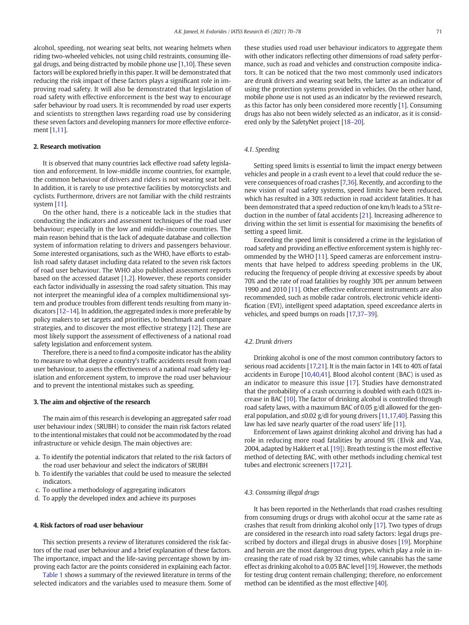alcohol, speeding, not wearing seat belts, not wearing helmets when riding two-wheeled vehicles, not using child restraints, consuming illegal drugs, and being distracted by mobile phone use [\[1,10\]](#page-9-0). These seven factors will be explored briefly in this paper. It will be demonstrated that reducing the risk impact of these factors plays a significant role in improving road safety. It will also be demonstrated that legislation of road safety with effective enforcement is the best way to encourage safer behaviour by road users. It is recommended by road user experts and scientists to strengthen laws regarding road use by considering these seven factors and developing manners for more effective enforcement [\[1,11](#page-9-0)].

#### 2. Research motivation

It is observed that many countries lack effective road safety legislation and enforcement. In low-middle income countries, for example, the common behaviour of drivers and riders is not wearing seat belt. In addition, it is rarely to use protective facilities by motorcyclists and cyclists. Furthermore, drivers are not familiar with the child restraints system [\[11](#page-9-0)].

On the other hand, there is a noticeable lack in the studies that conducting the indicators and assessment techniques of the road user behaviour; especially in the low and middle-income countries. The main reason behind that is the lack of adequate database and collection system of information relating to drivers and passengers behaviour. Some interested organisations, such as the WHO, have efforts to establish road safety dataset including data related to the seven risk factors of road user behaviour. The WHO also published assessment reports based on the accessed dataset [[1,2\]](#page-9-0). However, these reports consider each factor individually in assessing the road safety situation. This may not interpret the meaningful idea of a complex multidimensional system and produce troubles from different tends resulting from many indicators [[12](#page-9-0)–14]. In addition, the aggregated index is more preferable by policy makers to set targets and priorities, to benchmark and compare strategies, and to discover the most effective strategy [[12\]](#page-9-0). These are most likely support the assessment of effectiveness of a national road safety legislation and enforcement system.

Therefore, there is a need to find a composite indicator has the ability to measure to what degree a country's traffic accidents result from road user behaviour, to assess the effectiveness of a national road safety legislation and enforcement system, to improve the road user behaviour and to prevent the intentional mistakes such as speeding.

#### 3. The aim and objective of the research

The main aim of this research is developing an aggregated safer road user behaviour index (SRUBH) to consider the main risk factors related to the intentional mistakes that could not be accommodated by the road infrastructure or vehicle design. The main objectives are:

- a. To identify the potential indicators that related to the risk factors of the road user behaviour and select the indicators of SRUBH
- b. To identify the variables that could be used to measure the selected indicators.
- c. To outline a methodology of aggregating indicators
- d. To apply the developed index and achieve its purposes

#### 4. Risk factors of road user behaviour

This section presents a review of literatures considered the risk factors of the road user behaviour and a brief explanation of these factors. The importance, impact and the life-saving percentage shown by improving each factor are the points considered in explaining each factor.

[Table 1](#page-3-0) shows a summary of the reviewed literature in terms of the selected indicators and the variables used to measure them. Some of these studies used road user behaviour indicators to aggregate them with other indicators reflecting other dimensions of road safety performance, such as road and vehicles and construction composite indicators. It can be noticed that the two most commonly used indicators are drunk drivers and wearing seat belts, the latter as an indicator of using the protection systems provided in vehicles. On the other hand, mobile phone use is not used as an indicator by the reviewed research, as this factor has only been considered more recently [\[1\]](#page-9-0). Consuming drugs has also not been widely selected as an indicator, as it is considered only by the SafetyNet project [18–[20\]](#page-9-0).

#### 4.1. Speeding

Setting speed limits is essential to limit the impact energy between vehicles and people in a crash event to a level that could reduce the severe consequences of road crashes [\[7,36](#page-9-0)]. Recently, and according to the new vision of road safety systems, speed limits have been reduced, which has resulted in a 30% reduction in road accident fatalities. It has been demonstrated that a speed reduction of one km/h leads to a 5%t reduction in the number of fatal accidents [[21\]](#page-9-0). Increasing adherence to driving within the set limit is essential for maximising the benefits of setting a speed limit.

Exceeding the speed limit is considered a crime in the legislation of road safety and providing an effective enforcement system is highly recommended by the WHO [[11\]](#page-9-0). Speed cameras are enforcement instruments that have helped to address speeding problems in the UK, reducing the frequency of people driving at excessive speeds by about 70% and the rate of road fatalities by roughly 30% per annum between 1990 and 2010 [\[11](#page-9-0)]. Other effective enforcement instruments are also recommended, such as mobile radar controls, electronic vehicle identification (EVI), intelligent speed adaptation, speed exceedance alerts in vehicles, and speed bumps on roads [\[17,](#page-9-0)37–[39\]](#page-9-0).

#### 4.2. Drunk drivers

Drinking alcohol is one of the most common contributory factors to serious road accidents [[17,21](#page-9-0)]. It is the main factor in 14% to 40% of fatal accidents in Europe [[10,40,41](#page-9-0)]. Blood alcohol content (BAC) is used as an indicator to measure this issue [\[17\]](#page-9-0). Studies have demonstrated that the probability of a crash occurring is doubled with each 0.02% increase in BAC [[10](#page-9-0)]. The factor of drinking alcohol is controlled through road safety laws, with a maximum BAC of 0.05 g/dl allowed for the general population, and ≤0.02 g/dl for young drivers [\[11,17,40](#page-9-0)]. Passing this law has led save nearly quarter of the road users' life [\[11](#page-9-0)].

Enforcement of laws against drinking alcohol and driving has had a role in reducing more road fatalities by around 9% (Elvik and Vaa, 2004, adapted by Hakkert et al. [[19\]](#page-9-0)). Breath testing is the most effective method of detecting BAC, with other methods including chemical test tubes and electronic screeners [[17,21](#page-9-0)].

#### 4.3. Consuming illegal drugs

It has been reported in the Netherlands that road crashes resulting from consuming drugs or drugs with alcohol occur at the same rate as crashes that result from drinking alcohol only [\[17\]](#page-9-0). Two types of drugs are considered in the research into road safety factors: legal drugs prescribed by doctors and illegal drugs in abusive doses [\[19](#page-9-0)]. Morphine and heroin are the most dangerous drug types, which play a role in increasing the rate of road risk by 32 times, while cannabis has the same effect as drinking alcohol to a 0.05 BAC level [[19\]](#page-9-0). However, the methods for testing drug content remain challenging; therefore, no enforcement method can be identified as the most effective [\[40](#page-9-0)].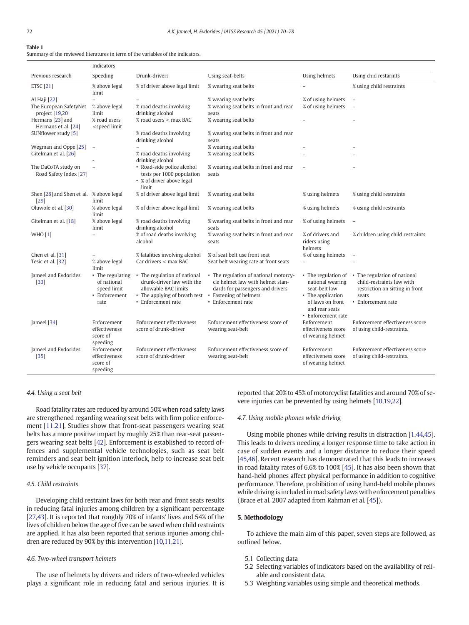#### <span id="page-3-0"></span>Table 1

Summary of the reviewed literatures in term of the variables of the indicators.

|                                                   | Indicators                                                                                                                       |                                                                                                                                          |                                                                                                                                                               |                                                                                                                    |                                                                                                                                                             |
|---------------------------------------------------|----------------------------------------------------------------------------------------------------------------------------------|------------------------------------------------------------------------------------------------------------------------------------------|---------------------------------------------------------------------------------------------------------------------------------------------------------------|--------------------------------------------------------------------------------------------------------------------|-------------------------------------------------------------------------------------------------------------------------------------------------------------|
| Previous research                                 | Speeding                                                                                                                         | Drunk-drivers                                                                                                                            | Using seat-belts                                                                                                                                              | Using helmets                                                                                                      | Using chid restarints                                                                                                                                       |
| <b>ETSC</b> [21]                                  | % above legal<br>limit                                                                                                           | % of driver above legal limit                                                                                                            | % wearing seat belts                                                                                                                                          |                                                                                                                    | % using child restraints                                                                                                                                    |
| Al Haji [22]                                      | $\overline{a}$                                                                                                                   |                                                                                                                                          | % wearing seat belts                                                                                                                                          | % of using helmets                                                                                                 | $\overline{\phantom{0}}$                                                                                                                                    |
| The European SafetyNet<br>project [19,20]         | % above legal<br>limit                                                                                                           | % road deaths involving<br>drinking alcohol                                                                                              | % wearing seat belts in front and rear<br>seats                                                                                                               | % of using helmets                                                                                                 | $\overline{\phantom{0}}$                                                                                                                                    |
| Hermans [23] and<br>Hermans et al. [24]           | % road users<br><speed limit<="" td=""><td>% road users &lt; max BAC</td><td>% wearing seat belts</td><td></td><td></td></speed> | % road users < max BAC                                                                                                                   | % wearing seat belts                                                                                                                                          |                                                                                                                    |                                                                                                                                                             |
| SUNflower study [5]                               |                                                                                                                                  | % road deaths involving<br>drinking alcohol                                                                                              | % wearing seat belts in front and rear<br>seats                                                                                                               |                                                                                                                    |                                                                                                                                                             |
| Wegman and Oppe [25]                              | $\overline{\phantom{0}}$                                                                                                         |                                                                                                                                          | % wearing seat belts                                                                                                                                          |                                                                                                                    |                                                                                                                                                             |
| Gitelman et al. [26]                              |                                                                                                                                  | % road deaths involving<br>drinking alcohol                                                                                              | % wearing seat belts                                                                                                                                          |                                                                                                                    |                                                                                                                                                             |
| The DaCoTA study on<br>Road Safety Index [27]     | $\overline{a}$                                                                                                                   | • Road-side police alcohol<br>tests per 1000 population<br>• % of driver above legal<br>limit                                            | % wearing seat belts in front and rear<br>seats                                                                                                               |                                                                                                                    |                                                                                                                                                             |
| Shen [28] and Shen et al. % above legal<br>$[29]$ | limit                                                                                                                            | % of driver above legal limit                                                                                                            | % wearing seat belts                                                                                                                                          | % using helmets                                                                                                    | % using child restraints                                                                                                                                    |
| Oluwole et al. [30]                               | % above legal<br>limit                                                                                                           | % of driver above legal limit                                                                                                            | % wearing seat belts                                                                                                                                          | % using helmets                                                                                                    | % using child restraints                                                                                                                                    |
| Gitelman et al. [18]                              | % above legal<br>limit                                                                                                           | % road deaths involving<br>drinking alcohol                                                                                              | % wearing seat belts in front and rear<br>seats                                                                                                               | % of using helmets                                                                                                 | $\qquad \qquad -$                                                                                                                                           |
| <b>WHO</b> [1]                                    | $\overline{a}$                                                                                                                   | % of road deaths involving<br>alcohol                                                                                                    | % wearing seat belts in front and rear<br>seats                                                                                                               | % of drivers and<br>riders using<br>helmets                                                                        | % children using child restraints                                                                                                                           |
| Chen et al. $[31]$                                |                                                                                                                                  | % fatalities involving alcohol                                                                                                           | % of seat belt use front seat                                                                                                                                 | % of using helmets                                                                                                 |                                                                                                                                                             |
| Tesic et al. [32]                                 | % above legal<br>limit                                                                                                           | Car drivers $<$ max BAC                                                                                                                  | Seat belt wearing rate at front seats                                                                                                                         | $\overline{a}$                                                                                                     |                                                                                                                                                             |
| Jameel and Evdorides<br>$[33]$                    | • The regulating<br>of national<br>speed limit<br>Enforcement<br>rate                                                            | • The regulation of national<br>drunk-driver law with the<br>allowable BAC limits<br>• The applying of breath test<br>• Enforcement rate | • The regulation of national motorcy-<br>cle helmet law with helmet stan-<br>dards for passengers and drivers<br>• Fastening of helmets<br>• Enforcement rate | national wearing<br>seat-belt law<br>• The application<br>of laws on front<br>and rear seats<br>• Enforcement rate | $\cdot$ The regulation of $\cdot$ The regulation of national<br>child-restraints law with<br>restriction on sitting in front<br>seats<br>• Enforcement rate |
| Jameel [34]                                       | Enforcement<br>effectiveness<br>score of<br>speeding                                                                             | Enforcement effectiveness<br>score of drunk-driver                                                                                       | Enforcement effectiveness score of<br>wearing seat-belt                                                                                                       | Enforcement<br>effectiveness score<br>of wearing helmet                                                            | Enforcement effectiveness score<br>of using child-restraints.                                                                                               |
| Jameel and Evdorides<br>$[35]$                    | Enforcement<br>effectiveness<br>score of<br>speeding                                                                             | Enforcement effectiveness<br>score of drunk-driver                                                                                       | Enforcement effectiveness score of<br>wearing seat-belt                                                                                                       | Enforcement<br>effectiveness score<br>of wearing helmet                                                            | Enforcement effectiveness score<br>of using child-restraints.                                                                                               |

#### 4.4. Using a seat belt

Road fatality rates are reduced by around 50% when road safety laws are strengthened regarding wearing seat belts with firm police enforcement [[11,21\]](#page-9-0). Studies show that front-seat passengers wearing seat belts has a more positive impact by roughly 25% than rear-seat passengers wearing seat belts [[42\]](#page-9-0). Enforcement is established to record offences and supplemental vehicle technologies, such as seat belt reminders and seat belt ignition interlock, help to increase seat belt use by vehicle occupants [\[37](#page-9-0)].

### 4.5. Child restraints

Developing child restraint laws for both rear and front seats results in reducing fatal injuries among children by a significant percentage [[27,43](#page-9-0)]. It is reported that roughly 70% of infants' lives and 54% of the lives of children below the age of five can be saved when child restraints are applied. It has also been reported that serious injuries among children are reduced by 90% by this intervention [\[10,11,21](#page-9-0)].

#### 4.6. Two-wheel transport helmets

The use of helmets by drivers and riders of two-wheeled vehicles plays a significant role in reducing fatal and serious injuries. It is reported that 20% to 45% of motorcyclist fatalities and around 70% of severe injuries can be prevented by using helmets [[10,19,22\]](#page-9-0).

#### 4.7. Using mobile phones while driving

Using mobile phones while driving results in distraction [[1,44,45](#page-9-0)]. This leads to drivers needing a longer response time to take action in case of sudden events and a longer distance to reduce their speed [\[45,46](#page-9-0)]. Recent research has demonstrated that this leads to increases in road fatality rates of 6.6% to 100% [\[45\]](#page-9-0). It has also been shown that hand-held phones affect physical performance in addition to cognitive performance. Therefore, prohibition of using hand-held mobile phones while driving is included in road safety laws with enforcement penalties (Brace et al. 2007 adapted from Rahman et al. [\[45\]](#page-9-0)).

#### 5. Methodology

To achieve the main aim of this paper, seven steps are followed, as outlined below.

- 5.1 Collecting data
- 5.2 Selecting variables of indicators based on the availability of reliable and consistent data.
- 5.3 Weighting variables using simple and theoretical methods.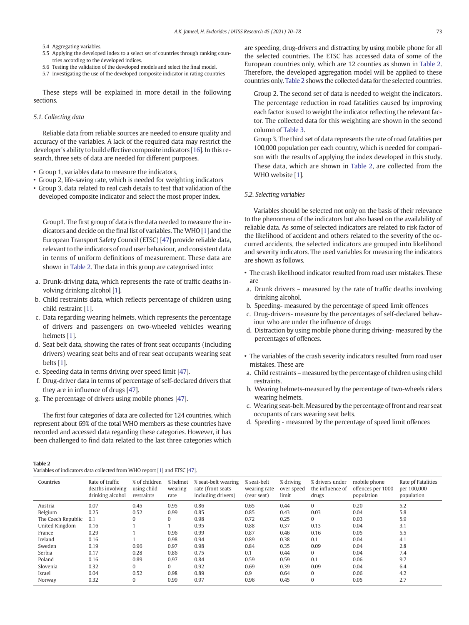- 5.4 Aggregating variables.
- 5.5 Applying the developed index to a select set of countries through ranking countries according to the developed indices.
- 5.6 Testing the validation of the developed models and select the final model.
- 5.7 Investigating the use of the developed composite indicator in rating countries

These steps will be explained in more detail in the following sections.

#### 5.1. Collecting data

Reliable data from reliable sources are needed to ensure quality and accuracy of the variables. A lack of the required data may restrict the developer's ability to build effective composite indicators [\[16](#page-9-0)]. In this research, three sets of data are needed for different purposes.

- Group 1, variables data to measure the indicators,
- Group 2, life-saving rate, which is needed for weighting indicators
- Group 3, data related to real cash details to test that validation of the developed composite indicator and select the most proper index.

Group1. The first group of data is the data needed to measure the indicators and decide on the final list of variables. The WHO [\[1\]](#page-9-0) and the European Transport Safety Council (ETSC) [\[47\]](#page-9-0) provide reliable data, relevant to the indicators of road user behaviour, and consistent data in terms of uniform definitions of measurement. These data are shown in Table 2. The data in this group are categorised into:

- a. Drunk-driving data, which represents the rate of traffic deaths involving drinking alcohol [\[1\]](#page-9-0).
- b. Child restraints data, which reflects percentage of children using child restraint [\[1\]](#page-9-0).
- c. Data regarding wearing helmets, which represents the percentage of drivers and passengers on two-wheeled vehicles wearing helmets [[1](#page-9-0)].
- d. Seat belt data, showing the rates of front seat occupants (including drivers) wearing seat belts and of rear seat occupants wearing seat belts [\[1\]](#page-9-0).
- e. Speeding data in terms driving over speed limit [\[47\]](#page-9-0).
- f. Drug-driver data in terms of percentage of self-declared drivers that they are in influence of drugs [\[47](#page-9-0)].
- g. The percentage of drivers using mobile phones [\[47](#page-9-0)].

The first four categories of data are collected for 124 countries, which represent about 69% of the total WHO members as these countries have recorded and accessed data regarding these categories. However, it has been challenged to find data related to the last three categories which

Table 2

Variables of indicators data collected from WHO report [\[1\]](#page-9-0) and ETSC [\[47\]](#page-9-0).

are speeding, drug-drivers and distracting by using mobile phone for all the selected countries. The ETSC has accessed data of some of the European countries only, which are 12 counties as shown in Table 2. Therefore, the developed aggregation model will be applied to these countries only. Table 2 shows the collected data for the selected countries.

Group 2. The second set of data is needed to weight the indicators. The percentage reduction in road fatalities caused by improving each factor is used to weight the indicator reflecting the relevant factor. The collected data for this weighting are shown in the second column of [Table 3.](#page-5-0)

Group 3. The third set of data represents the rate of road fatalities per 100,000 population per each country, which is needed for comparison with the results of applying the index developed in this study. These data, which are shown in Table 2, are collected from the WHO website [[1](#page-9-0)].

#### 5.2. Selecting variables

Variables should be selected not only on the basis of their relevance to the phenomena of the indicators but also based on the availability of reliable data. As some of selected indicators are related to risk factor of the likelihood of accident and others related to the severity of the occurred accidents, the selected indicators are grouped into likelihood and severity indicators. The used variables for measuring the indicators are shown as follows.

- The crash likelihood indicator resulted from road user mistakes. These are
- a. Drunk drivers measured by the rate of traffic deaths involving drinking alcohol.
- b. Speeding- measured by the percentage of speed limit offences
- c. Drug-drivers- measure by the percentages of self-declared behaviour who are under the influence of drugs
- d. Distraction by using mobile phone during driving- measured by the percentages of offences.
- The variables of the crash severity indicators resulted from road user mistakes. These are
- a. Child restraints measured by the percentage of children using child restraints.
- b. Wearing helmets-measured by the percentage of two-wheels riders wearing helmets.
- c. Wearing seat-belt. Measured by the percentage of front and rear seat occupants of cars wearing seat belts.
- d. Speeding measured by the percentage of speed limit offences

| Countries          | Rate of traffic<br>deaths involving<br>drinking alcohol | % of children<br>using child<br>restraints | % helmet<br>wearing<br>rate | % seat-belt wearing<br>rate (front seats)<br>including drivers) | % seat-belt<br>wearing rate<br>(rear seat) | % driving<br>over speed<br>limit | % drivers under<br>the influence of<br>drugs | mobile phone<br>offences per 1000<br>population | Rate pf Fatalities<br>per 100,000<br>population |
|--------------------|---------------------------------------------------------|--------------------------------------------|-----------------------------|-----------------------------------------------------------------|--------------------------------------------|----------------------------------|----------------------------------------------|-------------------------------------------------|-------------------------------------------------|
| Austria            | 0.07                                                    | 0.45                                       | 0.95                        | 0.86                                                            | 0.65                                       | 0.44                             | $\Omega$                                     | 0.20                                            | 5.2                                             |
| Belgium            | 0.25                                                    | 0.52                                       | 0.99                        | 0.85                                                            | 0.85                                       | 0.43                             | 0.03                                         | 0.04                                            | 5.8                                             |
| The Czech Republic | 0.1                                                     | $\bf{0}$                                   | $\Omega$                    | 0.98                                                            | 0.72                                       | 0.25                             | $\Omega$                                     | 0.03                                            | 5.9                                             |
| United Kingdom     | 0.16                                                    |                                            |                             | 0.95                                                            | 0.88                                       | 0.37                             | 0.13                                         | 0.04                                            | 3.1                                             |
| France             | 0.29                                                    |                                            | 0.96                        | 0.99                                                            | 0.87                                       | 0.46                             | 0.16                                         | 0.05                                            | 5.5                                             |
| Ireland            | 0.16                                                    |                                            | 0.98                        | 0.94                                                            | 0.89                                       | 0.38                             | 0.1                                          | 0.04                                            | 4.1                                             |
| Sweden             | 0.19                                                    | 0.96                                       | 0.97                        | 0.98                                                            | 0.84                                       | 0.35                             | 0.09                                         | 0.04                                            | 2.8                                             |
| Serbia             | 0.17                                                    | 0.28                                       | 0.86                        | 0.75                                                            | 0.1                                        | 0.44                             | $\Omega$                                     | 0.04                                            | 7.4                                             |
| Poland             | 0.16                                                    | 0.89                                       | 0.97                        | 0.84                                                            | 0.59                                       | 0.59                             | 0.1                                          | 0.06                                            | 9.7                                             |
| Slovenia           | 0.32                                                    | $\mathbf{0}$                               | $\Omega$                    | 0.92                                                            | 0.69                                       | 0.39                             | 0.09                                         | 0.04                                            | 6.4                                             |
| Israel             | 0.04                                                    | 0.52                                       | 0.98                        | 0.89                                                            | 0.9                                        | 0.64                             | $\Omega$                                     | 0.06                                            | 4.2                                             |
| Norway             | 0.32                                                    | $\bf{0}$                                   | 0.99                        | 0.97                                                            | 0.96                                       | 0.45                             | $\Omega$                                     | 0.05                                            | 2.7                                             |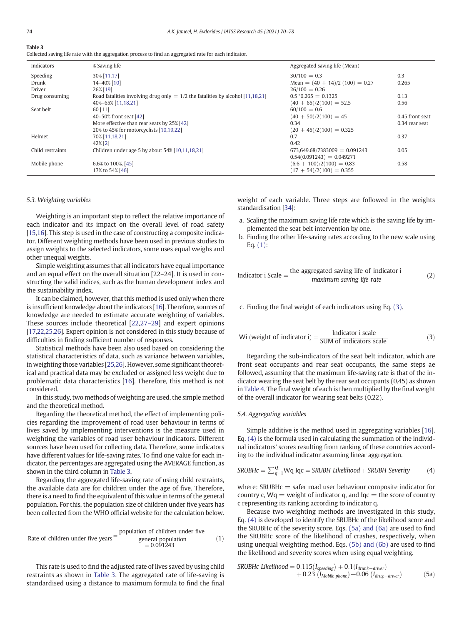#### <span id="page-5-0"></span>Table 3

Collected saving life rate with the aggregation process to find an aggregated rate for each indicator.

| Indicators       | % Saving life                                                                    | Aggregated saving life (Mean)    |                 |
|------------------|----------------------------------------------------------------------------------|----------------------------------|-----------------|
| Speeding         | 30% [11,17]                                                                      | $30/100 = 0.3$                   | 0.3             |
| Drunk            | 14-40% [10]                                                                      | Mean = $(40 + 14)/2(100) = 0.27$ | 0.265           |
| Driver           | 26% [19]                                                                         | $26/100 = 0.26$                  |                 |
| Drug consuming   | Road fatalities involving drug only $= 1/2$ the fatalities by alcohol [11,18,21] | $0.5 * 0.265 = 0.1325$           | 0.13            |
|                  | 40%-65% [11,18,21]                                                               | $(40 + 65)/2(100) = 52.5$        | 0.56            |
| Seat belt        | 60 [11]                                                                          | $60/100 = 0.6$                   |                 |
|                  | 40-50% front seat [42]                                                           | $(40 + 50)/2(100) = 45$          | 0.45 front seat |
|                  | More effective than rear seats by 25% [42]                                       | 0.34                             | 0.34 rear seat  |
|                  | 20% to 45% for motorcyclists [10,19,22]                                          | $(20 + 45)/2(100) = 0.325$       |                 |
| Helmet           | 70% [11,18,21]                                                                   | 0.7                              | 0.37            |
|                  | 42% [2]                                                                          | 0.42                             |                 |
| Child restraints | Children under age 5 by about 54% [10,11,18,21]                                  | $673,649.68/7383009 = 0.091243$  | 0.05            |
|                  |                                                                                  | $0.54(0.091243) = 0.049271$      |                 |
| Mobile phone     | 6.6% to 100%, [45]                                                               | $(6.6 + 100)/2(100) = 0.83$      | 0.58            |
|                  | 17% to 54% [46]                                                                  | $(17 + 54)/2(100) = 0.355$       |                 |

#### 5.3. Weighting variables

Weighting is an important step to reflect the relative importance of each indicator and its impact on the overall level of road safety [\[15,16\]](#page-9-0). This step is used in the case of constructing a composite indicator. Different weighting methods have been used in previous studies to assign weights to the selected indicators, some uses equal weighs and other unequal weights.

Simple weighting assumes that all indicators have equal importance and an equal effect on the overall situation [22–24]. It is used in constructing the valid indices, such as the human development index and the sustainability index.

It can be claimed, however, that this method is used only when there is insufficient knowledge about the indicators [\[16](#page-9-0)]. Therefore, sources of knowledge are needed to estimate accurate weighting of variables. These sources include theoretical [\[22,27](#page-9-0)–29] and expert opinions [\[17,22](#page-9-0),[25,26](#page-9-0)]. Expert opinion is not considered in this study because of difficulties in finding sufficient number of responses.

Statistical methods have been also used based on considering the statistical characteristics of data, such as variance between variables, in weighting those variables [\[25,26\]](#page-9-0). However, some significant theoretical and practical data may be excluded or assigned less weight due to problematic data characteristics [\[16\]](#page-9-0). Therefore, this method is not considered.

In this study, two methods of weighting are used, the simple method and the theoretical method.

Regarding the theoretical method, the effect of implementing policies regarding the improvement of road user behaviour in terms of lives saved by implementing interventions is the measure used in weighting the variables of road user behaviour indicators. Different sources have been used for collecting data. Therefore, some indicators have different values for life-saving rates. To find one value for each indicator, the percentages are aggregated using the AVERAGE function, as shown in the third column in Table 3.

Regarding the aggregated life-saving rate of using child restraints, the available data are for children under the age of five. Therefore, there is a need to find the equivalent of this value in terms of the general population. For this, the population size of children under five years has been collected from the WHO official website for the calculation below.

Rate of children under five years = 
$$
\frac{\text{population of children under fivegeneral population}}{\text{general population}}
$$
 (1)

This rate is used to find the adjusted rate of lives saved by using child restraints as shown in Table 3. The aggregated rate of life-saving is standardised using a distance to maximum formula to find the final weight of each variable. Three steps are followed in the weights standardisation [\[34](#page-9-0)]:

- a. Scaling the maximum saving life rate which is the saving life by implemented the seat belt intervention by one.
- b. Finding the other life-saving rates according to the new scale using Eq. (1):

$$
Indication i Scale = \frac{the aggregated saving life of indicator i}{maximum saving life rate}
$$
 (2)

c. Finding the final weight of each indicators using Eq. (3).

\n
$$
\text{Wi} \left( \text{weight of indicator} \right) = \frac{\text{Indication} \text{ i scale}}{\text{SUM of indicators scale}} \tag{3}
$$
\n

Regarding the sub-indicators of the seat belt indicator, which are front seat occupants and rear seat occupants, the same steps ae followed, assuming that the maximum life-saving rate is that of the indicator wearing the seat belt by the rear seat occupants (0.45) as shown in [Table 4](#page-6-0). The final weight of each is then multiplied by the final weight of the overall indicator for wearing seat belts (0.22).

#### 5.4. Aggregating variables

Simple additive is the method used in aggregating variables [[16](#page-9-0)]. Eq. (4) is the formula used in calculating the summation of the individual indicators' scores resulting from ranking of these countries according to the individual indicator assuming linear aggregation.

$$
SRUBHC = \sum_{q=1}^{Q} Wq Iqc = SRUBH Likelihood + SRUBH Severity
$$
 (4)

where:  $SRUBHC = \text{safter road user behaviour composite indicator for}$ country c,  $Wq$  = weight of indicator q, and  $Iqc$  = the score of country c representing its ranking according to indicator q.

Because two weighting methods are investigated in this study, Eq. (4) is developed to identify the SRUBHc of the likelihood score and the SRUBHc of the severity score. Eqs. (5a) and (6a) are used to find the SRUBHc score of the likelihood of crashes, respectively, when using unequal weighting method. Eqs. [\(5b\) and \(6b\)](#page-6-0) are used to find the likelihood and severity scores when using equal weighting.

$$
SRUBHc Likelihood = 0.115(I_{speeding}) + 0.1(I_{drunk-driven}) + 0.23(I_{Mobile phone}) - 0.06(I_{drug-driven})
$$
\n(5a)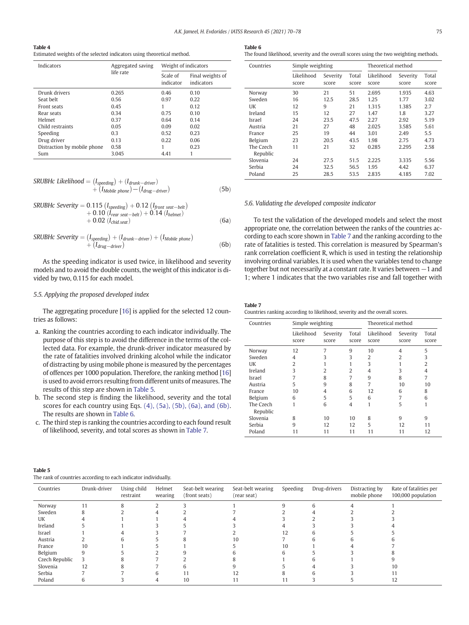<span id="page-6-0"></span>Table 4 Estimated weights of the selected indicators using theoretical method.

| <b>Indicators</b>           | Aggregated saving | Weight of indicators  |                                |  |
|-----------------------------|-------------------|-----------------------|--------------------------------|--|
|                             | life rate         | Scale of<br>indicator | Final weights of<br>indicators |  |
| Drunk drivers               | 0.265             | 0.46                  | 0.10                           |  |
| Seat belt                   | 0.56              | 0.97                  | 0.22                           |  |
| Front seats                 | 0.45              | 1                     | 0.12                           |  |
| Rear seats                  | 0.34              | 0.75                  | 0.10                           |  |
| Helmet                      | 0.37              | 0.64                  | 0.14                           |  |
| Child restraints            | 0.05              | 0.09                  | 0.02                           |  |
| Speeding                    | 0.3               | 0.52                  | 0.23                           |  |
| Drug driver                 | 0.13              | 0.22                  | 0.06                           |  |
| Distraction by mobile phone | 0.58              | 1                     | 0.23                           |  |
| Sum                         | 3.045             | 4.41                  | 1                              |  |

SRUBHC Likelihood = 
$$
(I_{speeding}) + (I_{drunk-driver})
$$
  
+  $(I_{Mobile phone}) - (I_{drug-driver})$  (5b)

SRUBHC *Severity* = 0.115 
$$
(I_{speeding})
$$
 + 0.12  $(I_{front seat-belt})$   
+ 0.10  $(I_{rear seat-belt})$  + 0.14  $(I_{helmet})$   
+ 0.02  $(I_{child seat})$  (6a)

SRUBHC *Severity* = 
$$
(I_{speeding}) + (I_{drunk-driver}) + (I_{Mobile phone})
$$
  
+  $(I_{drug-driver})$  (6b)

As the speeding indicator is used twice, in likelihood and severity models and to avoid the double counts, the weight of this indicator is divided by two, 0.115 for each model.

#### 5.5. Applying the proposed developed index

The aggregating procedure [[16\]](#page-9-0) is applied for the selected 12 countries as follows:

- a. Ranking the countries according to each indicator individually. The purpose of this step is to avoid the difference in the terms of the collected data. For example, the drunk-driver indicator measured by the rate of fatalities involved drinking alcohol while the indicator of distracting by using mobile phone is measured by the percentages of offences per 1000 population. Therefore, the ranking method [[16\]](#page-9-0) is used to avoid errors resulting from different units of measures. The results of this step are shown in Table 5.
- b. The second step is finding the likelihood, severity and the total scores for each country using Eqs. [\(4\), \(5a\), \(5b\), \(6a\), and \(6b\).](#page-5-0) The results are shown in Table 6.
- c. The third step is ranking the countries according to each found result of likelihood, severity, and total scores as shown in Table 7.

The found likelihood, severity and the overall scores using the two weighting methods.

| Countries            | Simple weighting    |                   |                | Theoretical method  |                   |                |  |
|----------------------|---------------------|-------------------|----------------|---------------------|-------------------|----------------|--|
|                      | Likelihood<br>score | Severity<br>score | Total<br>score | Likelihood<br>score | Severity<br>score | Total<br>score |  |
| Norway               | 30                  | 21                | 51             | 2.695               | 1.935             | 4.63           |  |
| Sweden               | 16                  | 12.5              | 28.5           | 1.25                | 1.77              | 3.02           |  |
| UK                   | 12                  | 9                 | 21             | 1.315               | 1.385             | 2.7            |  |
| Ireland              | 15                  | 12                | 27             | 1.47                | 1.8               | 3.27           |  |
| Israel               | 24                  | 23.5              | 47.5           | 2.27                | 2.92              | 5.19           |  |
| Austria              | 21                  | 27                | 48             | 2.025               | 3.585             | 5.61           |  |
| France               | 25                  | 19                | 44             | 3.01                | 2.49              | 5.5            |  |
| Belgium              | 23                  | 20.5              | 43.5           | 1.98                | 2.75              | 4.73           |  |
| The Czech            | 11                  | 21                | 32             | 0.285               | 2.295             | 2.58           |  |
| Republic<br>Slovenia | 24                  | 27.5              | 51.5           | 2.225               | 3.335             | 5.56           |  |
| Serbia               | 24                  | 32.5              | 56.5           | 1.95                | 4.42              | 6.37           |  |
| Poland               | 25                  | 28.5              | 53.5           | 2.835               | 4.185             | 7.02           |  |

#### 5.6. Validating the developed composite indicator

To test the validation of the developed models and select the most appropriate one, the correlation between the ranks of the countries according to each score shown in Table 7 and the ranking according to the rate of fatalities is tested. This correlation is measured by Spearman's rank correlation coefficient R, which is used in testing the relationship involving ordinal variables. It is used when the variables tend to change together but not necessarily at a constant rate. It varies between −1 and 1; where 1 indicates that the two variables rise and fall together with

#### Table 7

| Countries             |                     | Simple weighting  |                |                     | Theoretical method |                |  |  |
|-----------------------|---------------------|-------------------|----------------|---------------------|--------------------|----------------|--|--|
|                       | Likelihood<br>score | Severity<br>score | Total<br>score | Likelihood<br>score | Severity<br>score  | Total<br>score |  |  |
| Norway                | 12                  | 7                 | 9              | 10                  | 4                  | 5              |  |  |
| Sweden                | 4                   | 3                 | 3              | 2                   | 2                  | 3              |  |  |
| UK                    | 2                   |                   |                | 3                   |                    | $\overline{2}$ |  |  |
| Ireland               | 3                   | フ                 | 2              | 4                   | 3                  | 4              |  |  |
| Israel                |                     | 8                 | 7              | 9                   | 8                  | 7              |  |  |
| Austria               | 5                   | 9                 | 8              |                     | 10                 | 10             |  |  |
| France                | 10                  | 4                 | 6              | 12                  | 6                  | 8              |  |  |
| Belgium               | 6                   | 5                 | 5              | 6                   |                    | 6              |  |  |
| The Czech<br>Republic | 1                   | 6                 | 4              |                     | 5                  |                |  |  |
| Slovenia              | 8                   | 10                | 10             | 8                   | q                  | 9              |  |  |
| Serbia                | 9                   | 12                | 12             | 5                   | 12                 | 11             |  |  |
| Poland                | 11                  | 11                | 11             | 11                  | 11                 | 12             |  |  |

| Table 5                                                         |
|-----------------------------------------------------------------|
| The rank of countries according to each indicator individually. |

| Countries      | Drunk-driver | Using child<br>restraint | Helmet<br>wearing | Seat-belt wearing<br>(front seats) | Seat-belt wearing<br>(rear seat) | Speeding | Drug-drivers | Distracting by<br>mobile phone | Rate of fatalities per<br>100,000 population |
|----------------|--------------|--------------------------|-------------------|------------------------------------|----------------------------------|----------|--------------|--------------------------------|----------------------------------------------|
| Norway         |              |                          |                   |                                    |                                  |          |              |                                |                                              |
| Sweden         |              |                          |                   |                                    |                                  |          |              |                                |                                              |
| UK             |              |                          |                   |                                    |                                  |          |              |                                |                                              |
| Ireland        |              |                          |                   |                                    |                                  |          |              |                                |                                              |
| Israel         |              |                          |                   |                                    |                                  | 12       |              |                                |                                              |
| Austria        |              |                          |                   |                                    |                                  |          |              |                                |                                              |
| France         | 10           |                          |                   |                                    |                                  | 10       |              |                                |                                              |
| Belgium        |              |                          |                   |                                    |                                  |          |              |                                |                                              |
| Czech Republic | 3            |                          |                   |                                    |                                  |          |              |                                |                                              |
| Slovenia       | 12           |                          |                   |                                    |                                  |          |              |                                | 10                                           |
| Serbia         |              |                          |                   |                                    | 12                               |          |              |                                | . .                                          |
| Poland         |              |                          |                   | 10                                 |                                  |          |              |                                | 12                                           |
|                |              |                          |                   |                                    |                                  |          |              |                                |                                              |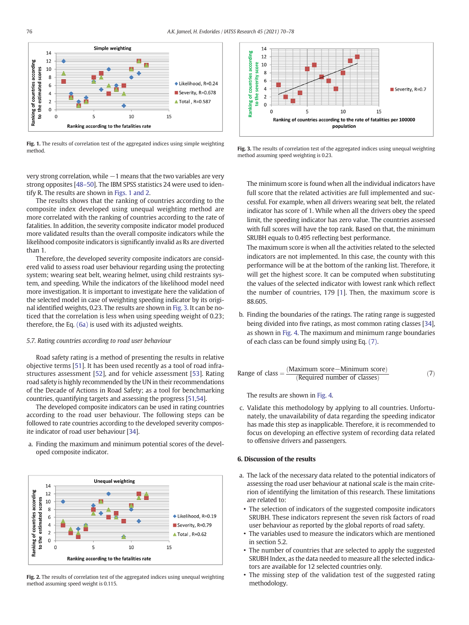<span id="page-7-0"></span>

Fig. 1. The results of correlation test of the aggregated indices using simple weighting method.

very strong correlation, while −1 means that the two variables are very strong opposites [48–[50\]](#page-9-0). The IBM SPSS statistics 24 were used to identify R. The results are shown in Figs. 1 and 2.

The results shows that the ranking of countries according to the composite index developed using unequal weighting method are more correlated with the ranking of countries according to the rate of fatalities. In addition, the severity composite indicator model produced more validated results than the overall composite indicators while the likelihood composite indicators is significantly invalid as Rs are diverted than 1.

Therefore, the developed severity composite indicators are considered valid to assess road user behaviour regarding using the protecting system; wearing seat belt, wearing helmet, using child restraints system, and speeding. While the indicators of the likelihood model need more investigation. It is important to investigate here the validation of the selected model in case of weighting speeding indicator by its original identified weights, 0.23. The results are shown in Fig. 3. It can be noticed that the correlation is less when using speeding weight of 0.23; therefore, the Eq. [\(6a\)](#page-6-0) is used with its adjusted weights.

#### 5.7. Rating countries according to road user behaviour

Road safety rating is a method of presenting the results in relative objective terms [\[51](#page-9-0)]. It has been used recently as a tool of road infrastructures assessment [\[52](#page-9-0)], and for vehicle assessment [\[53\]](#page-9-0). Rating road safety is highly recommended by the UN in their recommendations of the Decade of Actions in Road Safety; as a tool for benchmarking countries, quantifying targets and assessing the progress [[51,54](#page-9-0)].

The developed composite indicators can be used in rating countries according to the road user behaviour. The following steps can be followed to rate countries according to the developed severity composite indicator of road user behaviour [[34\]](#page-9-0).

a. Finding the maximum and minimum potential scores of the developed composite indicator.



Fig. 2. The results of correlation test of the aggregated indices using unequal weighting method assuming speed weight is 0.115.



Fig. 3. The results of correlation test of the aggregated indices using unequal weighting method assuming speed weighting is 0.23.

The minimum score is found when all the individual indicators have full score that the related activities are full implemented and successful. For example, when all drivers wearing seat belt, the related indicator has score of 1. While when all the drivers obey the speed limit, the speeding indicator has zero value. The countries assessed with full scores will have the top rank. Based on that, the minimum SRUBH equals to 0.495 reflecting best performance.

The maximum score is when all the activities related to the selected indicators are not implemented. In this case, the county with this performance will be at the bottom of the ranking list. Therefore, it will get the highest score. It can be computed when substituting the values of the selected indicator with lowest rank which reflect the number of countries, 179 [\[1](#page-9-0)]. Then, the maximum score is 88.605.

b. Finding the boundaries of the ratings. The rating range is suggested being divided into five ratings, as most common rating classes [\[34](#page-9-0)], as shown in [Fig. 4.](#page-8-0) The maximum and minimum range boundaries of each class can be found simply using Eq. (7).

Range of class = 
$$
\frac{(Maximum score - Minimum score)}{(Required number of classes)}
$$
 (7)

The results are shown in [Fig. 4.](#page-8-0)

c. Validate this methodology by applying to all countries. Unfortunately, the unavailability of data regarding the speeding indicator has made this step as inapplicable. Therefore, it is recommended to focus on developing an effective system of recording data related to offensive drivers and passengers.

#### 6. Discussion of the results

- a. The lack of the necessary data related to the potential indicators of assessing the road user behaviour at national scale is the main criterion of identifying the limitation of this research. These limitations are related to:
- The selection of indicators of the suggested composite indicators SRUBH. These indicators represent the seven risk factors of road user behaviour as reported by the global reports of road safety.
- The variables used to measure the indicators which are mentioned in section 5.2.
- The number of countries that are selected to apply the suggested SRUBH Index, as the data needed to measure all the selected indicators are available for 12 selected countries only.
- The missing step of the validation test of the suggested rating methodology.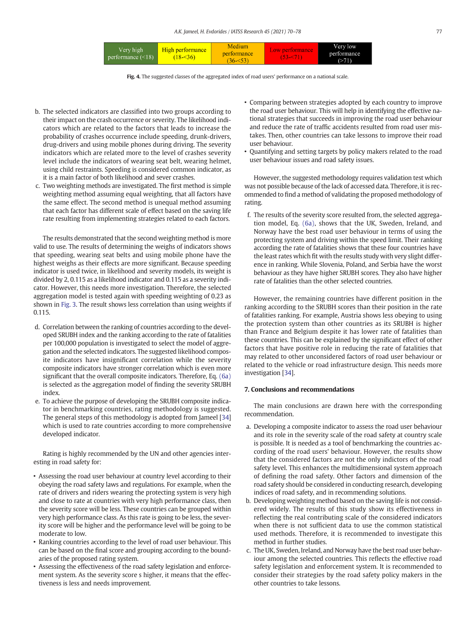<span id="page-8-0"></span>

| Very high               | High performance | Medium      |                                       | Very low    |
|-------------------------|------------------|-------------|---------------------------------------|-------------|
| performance $(\leq 18)$ | $(18 - 36)$      | performance | <b>Low performance</b><br>$(53 - 71)$ | performance |
|                         |                  | $(36 - 53)$ |                                       | (271)       |

Fig. 4. The suggested classes of the aggregated index of road users' performance on a national scale.

- b. The selected indicators are classified into two groups according to their impact on the crash occurrence or severity. The likelihood indicators which are related to the factors that leads to increase the probability of crashes occurrence include speeding, drunk-drivers, drug-drivers and using mobile phones during driving. The severity indicators which are related more to the level of crashes severity level include the indicators of wearing seat belt, wearing helmet, using child restraints. Speeding is considered common indicator, as it is a main factor of both likelihood and sever crashes.
- c. Two weighting methods are investigated. The first method is simple weighting method assuming equal weighting, that all factors have the same effect. The second method is unequal method assuming that each factor has different scale of effect based on the saving life rate resulting from implementing strategies related to each factors.

The results demonstrated that the second weighting method is more valid to use. The results of determining the weighs of indicators shows that speeding, wearing seat belts and using mobile phone have the highest weighs as their effects are more significant. Because speeding indicator is used twice, in likelihood and severity models, its weight is divided by 2, 0.115 as a likelihood indicator and 0.115 as a severity indicator. However, this needs more investigation. Therefore, the selected aggregation model is tested again with speeding weighting of 0.23 as shown in [Fig. 3](#page-7-0). The result shows less correlation than using weights if 0.115.

- d. Correlation between the ranking of countries according to the developed SRUBH index and the ranking according to the rate of fatalities per 100,000 population is investigated to select the model of aggregation and the selected indicators. The suggested likelihood composite indicators have insignificant correlation while the severity composite indicators have stronger correlation which is even more significant that the overall composite indicators. Therefore, Eq. [\(6a\)](#page-6-0) is selected as the aggregation model of finding the severity SRUBH index.
- e. To achieve the purpose of developing the SRUBH composite indicator in benchmarking countries, rating methodology is suggested. The general steps of this methodology is adopted from Jameel [[34\]](#page-9-0) which is used to rate countries according to more comprehensive developed indicator.

Rating is highly recommended by the UN and other agencies interesting in road safety for:

- Assessing the road user behaviour at country level according to their obeying the road safety laws and regulations. For example, when the rate of drivers and riders wearing the protecting system is very high and close to rate at countries with very high performance class, then the severity score will be less. These countries can be grouped within very high performance class. As this rate is going to be less, the severity score will be higher and the performance level will be going to be moderate to low.
- Ranking countries according to the level of road user behaviour. This can be based on the final score and grouping according to the boundaries of the proposed rating system.
- Assessing the effectiveness of the road safety legislation and enforcement system. As the severity score s higher, it means that the effectiveness is less and needs improvement.
- Comparing between strategies adopted by each country to improve the road user behaviour. This will help in identifying the effective national strategies that succeeds in improving the road user behaviour and reduce the rate of traffic accidents resulted from road user mistakes. Then, other countries can take lessons to improve their road user behaviour.
- Quantifying and setting targets by policy makers related to the road user behaviour issues and road safety issues.

However, the suggested methodology requires validation test which was not possible because of the lack of accessed data. Therefore, it is recommended to find a method of validating the proposed methodology of rating.

f. The results of the severity score resulted from, the selected aggregation model, Eq. [\(6a\),](#page-6-0) shows that the UK, Sweden, Ireland, and Norway have the best road user behaviour in terms of using the protecting system and driving within the speed limit. Their ranking according the rate of fatalities shows that these four countries have the least rates which fit with the results study with very slight difference in ranking. While Slovenia, Poland, and Serbia have the worst behaviour as they have higher SRUBH scores. They also have higher rate of fatalities than the other selected countries.

However, the remaining countries have different position in the ranking according to the SRUBH scores than their position in the rate of fatalities ranking. For example, Austria shows less obeying to using the protection system than other countries as its SRUBH is higher than France and Belgium despite it has lower rate of fatalities than these countries. This can be explained by the significant effect of other factors that have positive role in reducing the rate of fatalities that may related to other unconsidered factors of road user behaviour or related to the vehicle or road infrastructure design. This needs more investigation [\[34](#page-9-0)].

#### 7. Conclusions and recommendations

The main conclusions are drawn here with the corresponding recommendation.

- a. Developing a composite indicator to assess the road user behaviour and its role in the severity scale of the road safety at country scale is possible. It is needed as a tool of benchmarking the countries according of the road users' behaviour. However, the results show that the considered factors are not the only indictors of the road safety level. This enhances the multidimensional system approach of defining the road safety. Other factors and dimension of the road safety should be considered in conducting research, developing indices of road safety, and in recommending solutions.
- b. Developing weighting method based on the saving life is not considered widely. The results of this study show its effectiveness in reflecting the real contributing scale of the considered indicators when there is not sufficient data to use the common statistical used methods. Therefore, it is recommended to investigate this method in further studies.
- c. The UK, Sweden, Ireland, and Norway have the best road user behaviour among the selected countries. This reflects the effective road safety legislation and enforcement system. It is recommended to consider their strategies by the road safety policy makers in the other countries to take lessons.